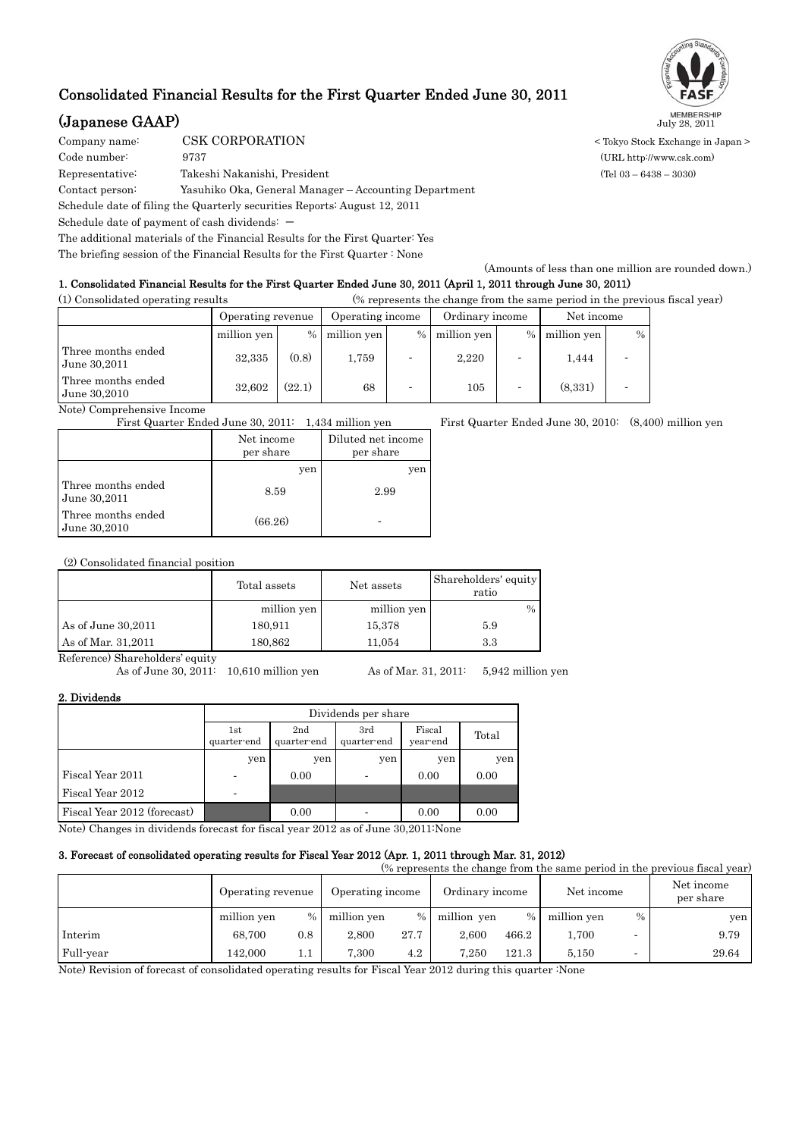## Consolidated Financial Results for the First Quarter Ended June 30, 2011

# (Japanese GAAP) July 28, 2011

COMPORATION CORPORATION COMPORATION Code number: 9737 (URL http://www.csk.com) Representative: Takeshi Nakanishi, President (Tel 03 – 6438 – 3030) Contact person: Yasuhiko Oka, General Manager – Accounting Department Schedule date of filing the Quarterly securities Reports: August 12, 2011 Schedule date of payment of cash dividends:  $-$ The additional materials of the Financial Results for the First Quarter: Yes The briefing session of the Financial Results for the First Quarter : None

### 1. Consolidated Financial Results for the First Quarter Ended June 30, 2011 (April 1, 2011 through June 30, 2011)

(1) Consolidated operating results (% represents the change from the same period in the previous fiscal year)

|                                    | Operating revenue |        | Operating income |      | Ordinary income |                          | Net income  |      |
|------------------------------------|-------------------|--------|------------------|------|-----------------|--------------------------|-------------|------|
|                                    | million yen       | $\%$   | million yen      | $\%$ | million yen     | $\%$                     | million yen | $\%$ |
| Three months ended<br>June 30,2011 | 32,335            | (0.8)  | 1,759            |      | 2,220           |                          | 1,444       |      |
| Three months ended<br>June 30,2010 | 32.602            | (22.1) | 68               |      | 105             | $\overline{\phantom{0}}$ | (8,331)     |      |

Note) Comprehensive Income

|                                    | Net income<br>per share | Diluted net income<br>per share |
|------------------------------------|-------------------------|---------------------------------|
|                                    | yen                     | yen                             |
| Three months ended<br>June 30,2011 | 8.59                    | 2.99                            |
| Three months ended<br>June 30,2010 | (66.26)                 |                                 |

(2) Consolidated financial position

|                     | Total assets | Net assets  | Shareholders' equity<br>ratio |  |
|---------------------|--------------|-------------|-------------------------------|--|
|                     | million yen  | million yen | $\frac{0}{0}$                 |  |
| As of June 30, 2011 | 180,911      | 15,378      | 5.9                           |  |
| As of Mar. 31,2011  | 180,862      | 11.054      | 3.3                           |  |

Reference) Shareholders' equity

As of June 30, 2011: 10,610 million yen As of Mar. 31, 2011: 5,942 million yen

2. Dividends

|                             |                    | Dividends per share |                    |                    |       |  |  |  |
|-----------------------------|--------------------|---------------------|--------------------|--------------------|-------|--|--|--|
|                             | 1st<br>quarter-end | 2nd<br>quarter-end  | 3rd<br>quarter-end | Fiscal<br>year-end | Total |  |  |  |
|                             | yen                | yen                 | yen                | yen                | yen   |  |  |  |
| Fiscal Year 2011            |                    | 0.00                |                    | 0.00               | 0.00  |  |  |  |
| Fiscal Year 2012            | -                  |                     |                    |                    |       |  |  |  |
| Fiscal Year 2012 (forecast) |                    | 0.00                |                    | 0.00               | 0.00  |  |  |  |

Note) Changes in dividends forecast for fiscal year 2012 as of June 30,2011:None

### 3. Forecast of consolidated operating results for Fiscal Year 2012 (Apr. 1, 2011 through Mar. 31, 2012)

| (% represents the change from the same period in the previous fiscal year) |                   |      |                  |      |                 |       |             |                          |                         |
|----------------------------------------------------------------------------|-------------------|------|------------------|------|-----------------|-------|-------------|--------------------------|-------------------------|
|                                                                            | Operating revenue |      | Operating income |      | Ordinary income |       | Net income  |                          | Net income<br>per share |
|                                                                            | million yen       | $\%$ | million yen      | $\%$ | million yen     | $\%$  | million yen | $\frac{0}{0}$            | yen                     |
| Interim                                                                    | 68.700            | 0.8  | 2.800            | 27.7 | 2.600           | 466.2 | 1.700       | $\overline{\phantom{0}}$ | 9.79                    |
| Full-year                                                                  | 142,000           | 1.1  | 7.300            | 4.2  | 7.250           | 121.3 | 5.150       |                          | 29.64                   |

Note) Revision of forecast of consolidated operating results for Fiscal Year 2012 during this quarter :None



First Quarter Ended June 30, 2011: 1,434 million yen First Quarter Ended June 30, 2010: (8,400) million yen

(Amounts of less than one million are rounded down.)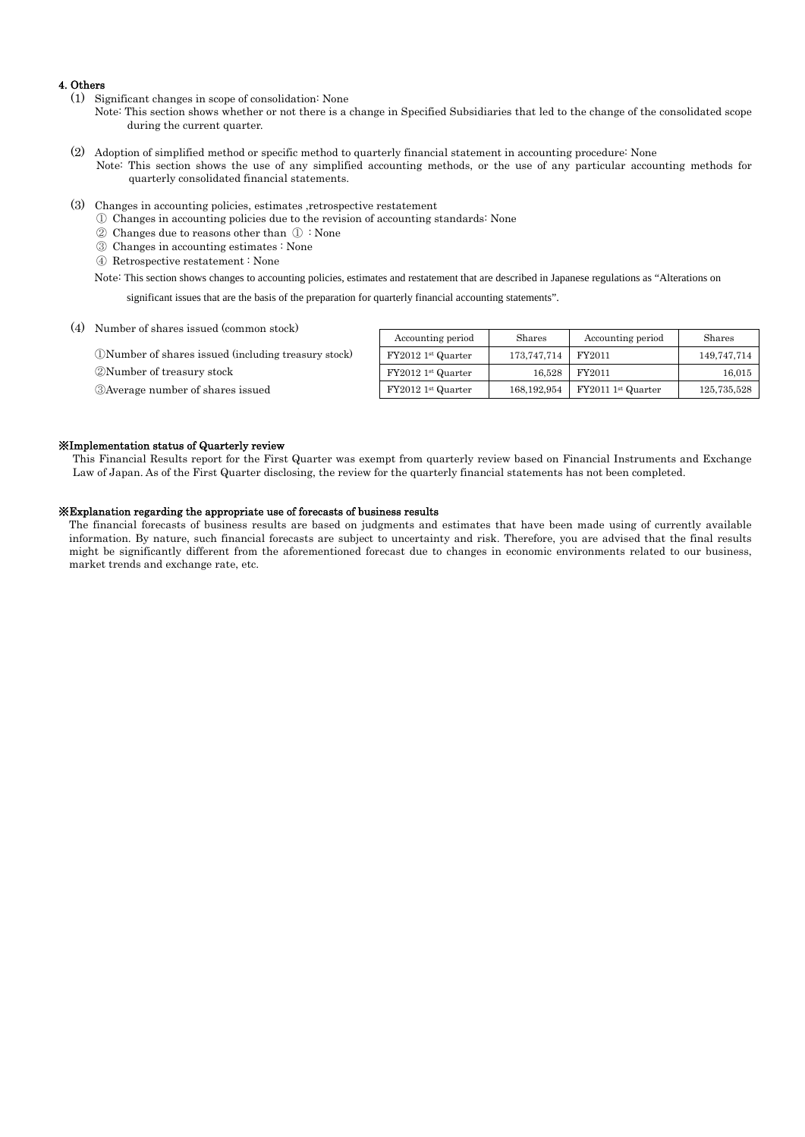#### 4. Others

- (1) Significant changes in scope of consolidation: None
	- Note: This section shows whether or not there is a change in Specified Subsidiaries that led to the change of the consolidated scope during the current quarter.
- (2) Adoption of simplified method or specific method to quarterly financial statement in accounting procedure: None Note: This section shows the use of any simplified accounting methods, or the use of any particular accounting methods for quarterly consolidated financial statements.
- (3) Changes in accounting policies, estimates ,retrospective restatement
	- ① Changes in accounting policies due to the revision of accounting standards: None
	- ② Changes due to reasons other than ① : None
	- ③ Changes in accounting estimates : None
	- ④ Retrospective restatement : None

Note: This section shows changes to accounting policies, estimates and restatement that are described in Japanese regulations as "Alterations on

significant issues that are the basis of the preparation for quarterly financial accounting statements".

(4) Number of shares issued (common stock)

①Number of shares issued (including treasury stock) ②Number of treasury stock

③Average number of shares issued

| Accounting period   | Shares        | Accounting period   | Shares      |
|---------------------|---------------|---------------------|-------------|
| $FY20121st$ Quarter | 173,747,714   | FY2011              | 149,747,714 |
| FY2012 1st Quarter  | 16,528        | FY2011              | 16,015      |
| $FY20121st$ Quarter | 168, 192, 954 | $FY20111st$ Quarter | 125,735,528 |

#### ※Implementation status of Quarterly review

This Financial Results report for the First Quarter was exempt from quarterly review based on Financial Instruments and Exchange Law of Japan. As of the First Quarter disclosing, the review for the quarterly financial statements has not been completed.

#### ※Explanation regarding the appropriate use of forecasts of business results

The financial forecasts of business results are based on judgments and estimates that have been made using of currently available information. By nature, such financial forecasts are subject to uncertainty and risk. Therefore, you are advised that the final results might be significantly different from the aforementioned forecast due to changes in economic environments related to our business, market trends and exchange rate, etc.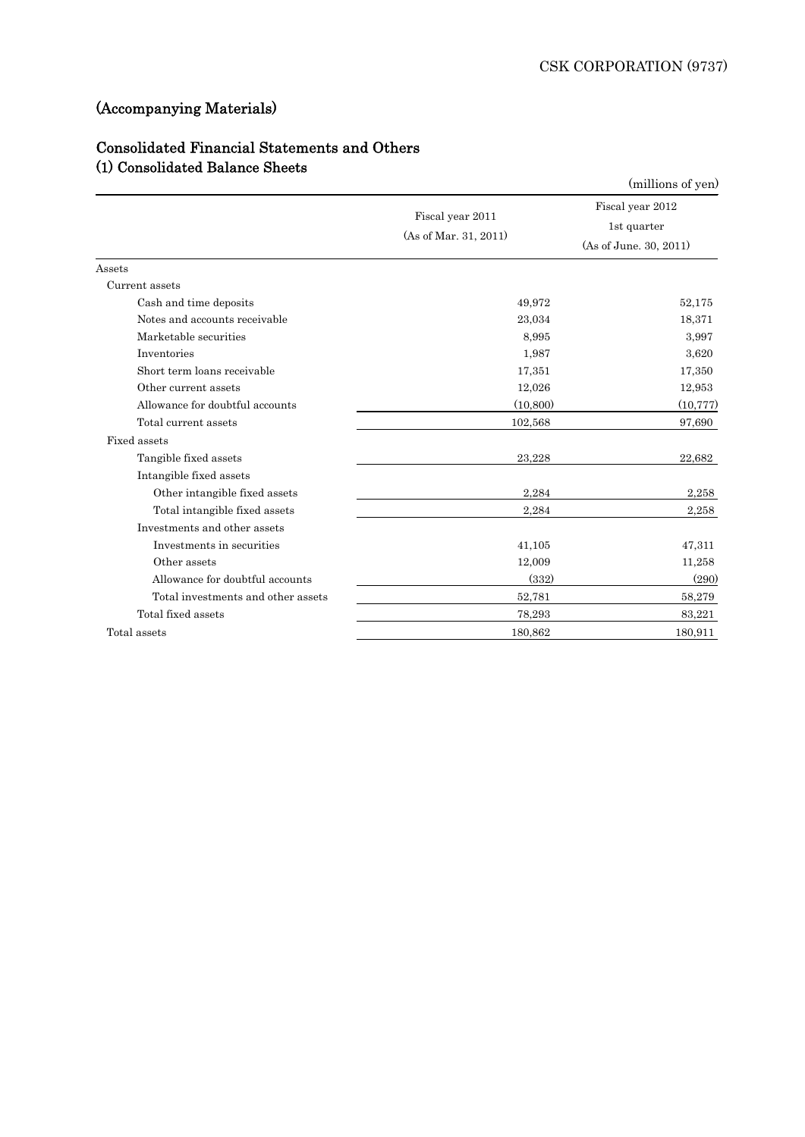# (Accompanying Materials)

## Consolidated Financial Statements and Others (1) Consolidated Balance Sheets

| (1) Consolidated Balance Sheets    |                                           | (millions of yen)                                         |
|------------------------------------|-------------------------------------------|-----------------------------------------------------------|
|                                    | Fiscal year 2011<br>(As of Mar. 31, 2011) | Fiscal year 2012<br>1st quarter<br>(As of June. 30, 2011) |
| $\operatorname{Assets}$            |                                           |                                                           |
| Current assets                     |                                           |                                                           |
| Cash and time deposits             | 49,972                                    | 52,175                                                    |
| Notes and accounts receivable      | 23,034                                    | 18,371                                                    |
| Marketable securities              | 8.995                                     | 3,997                                                     |
| Inventories                        | 1,987                                     | 3,620                                                     |
| Short term loans receivable        | 17,351                                    | 17,350                                                    |
| Other current assets               | 12,026                                    | 12,953                                                    |
| Allowance for doubtful accounts    | (10, 800)                                 | (10, 777)                                                 |
| Total current assets               | 102,568                                   | 97,690                                                    |
| Fixed assets                       |                                           |                                                           |
| Tangible fixed assets              | 23,228                                    | 22,682                                                    |
| Intangible fixed assets            |                                           |                                                           |
| Other intangible fixed assets      | 2,284                                     | 2,258                                                     |
| Total intangible fixed assets      | 2,284                                     | 2,258                                                     |
| Investments and other assets       |                                           |                                                           |
| Investments in securities          | 41,105                                    | 47,311                                                    |
| Other assets                       | 12,009                                    | 11,258                                                    |
| Allowance for doubtful accounts    | (332)                                     | (290)                                                     |
| Total investments and other assets | 52,781                                    | 58,279                                                    |
| Total fixed assets                 | 78,293                                    | 83,221                                                    |
| Total assets                       | 180,862                                   | 180,911                                                   |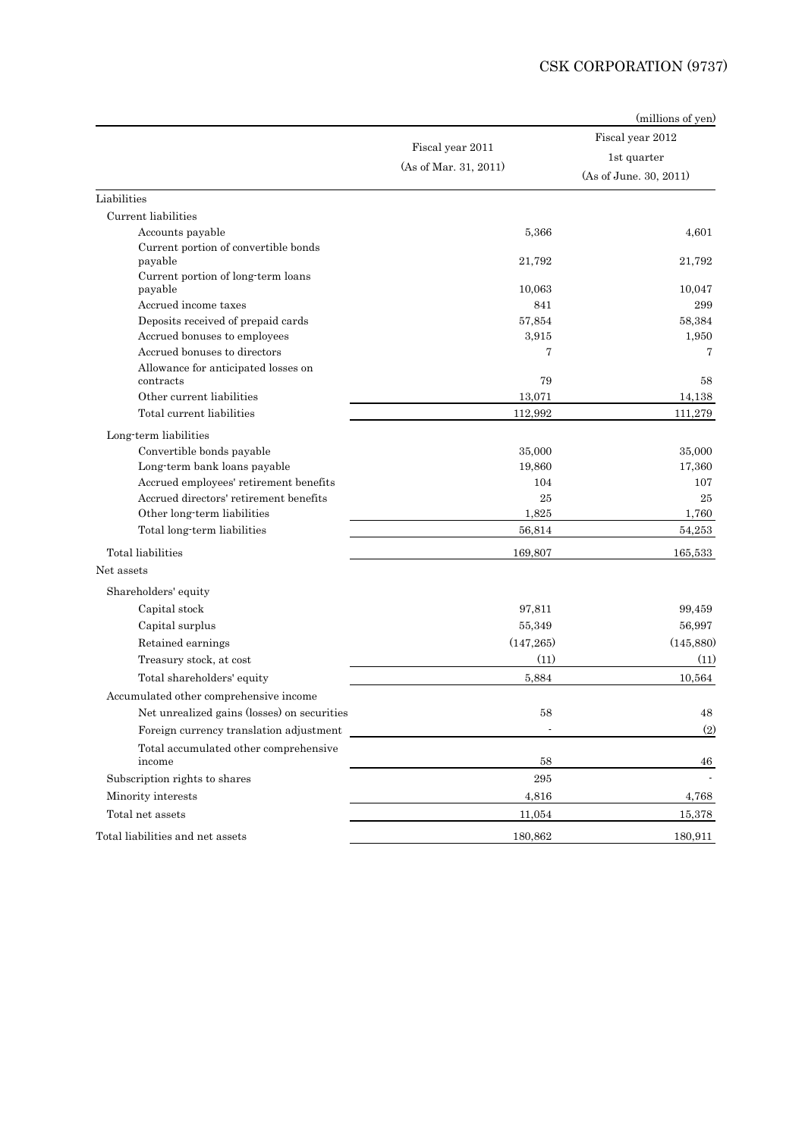## CSK CORPORATION (9737)

|                                                  |                       | (millions of yen)      |
|--------------------------------------------------|-----------------------|------------------------|
|                                                  |                       | Fiscal year 2012       |
|                                                  | Fiscal year 2011      | 1st quarter            |
|                                                  | (As of Mar. 31, 2011) | (As of June. 30, 2011) |
| Liabilities                                      |                       |                        |
| Current liabilities                              |                       |                        |
| Accounts payable                                 | 5,366                 | 4,601                  |
| Current portion of convertible bonds<br>payable  | 21.792                | 21,792                 |
| Current portion of long-term loans<br>payable    | 10,063                | 10,047                 |
| Accrued income taxes                             | 841                   | 299                    |
| Deposits received of prepaid cards               | 57,854                | 58,384                 |
| Accrued bonuses to employees                     | 3,915                 | 1,950                  |
| Accrued bonuses to directors                     | 7                     | 7                      |
| Allowance for anticipated losses on<br>contracts | 79                    | 58                     |
| Other current liabilities                        | 13,071                | 14,138                 |
| Total current liabilities                        | 112,992               | 111,279                |
| Long-term liabilities                            |                       |                        |
| Convertible bonds payable                        | 35,000                | 35,000                 |
| Long-term bank loans payable                     | 19,860                | 17,360                 |
| Accrued employees' retirement benefits           | 104                   | 107                    |
| Accrued directors' retirement benefits           | 25                    | 25                     |
| Other long term liabilities                      | 1,825                 | 1,760                  |
| Total long-term liabilities                      | 56,814                | 54,253                 |
| Total liabilities                                | 169,807               | 165,533                |
| Net assets                                       |                       |                        |
| Shareholders' equity                             |                       |                        |
| Capital stock                                    | 97,811                | 99,459                 |
| Capital surplus                                  | 55,349                | 56,997                 |
| Retained earnings                                | (147, 265)            | (145, 880)             |
| Treasury stock, at cost                          | (11)                  | (11)                   |
| Total shareholders' equity                       | 5.884                 | 10,564                 |
| Accumulated other comprehensive income           |                       |                        |
| Net unrealized gains (losses) on securities      | 58                    | 48                     |
| Foreign currency translation adjustment          |                       | (2)                    |
| Total accumulated other comprehensive<br>income  | 58                    | 46                     |
| Subscription rights to shares                    | $\bf 295$             |                        |
| Minority interests                               | 4,816                 | 4,768                  |
| Total net assets                                 | 11,054                | 15,378                 |
| Total liabilities and net assets                 | 180,862               | 180,911                |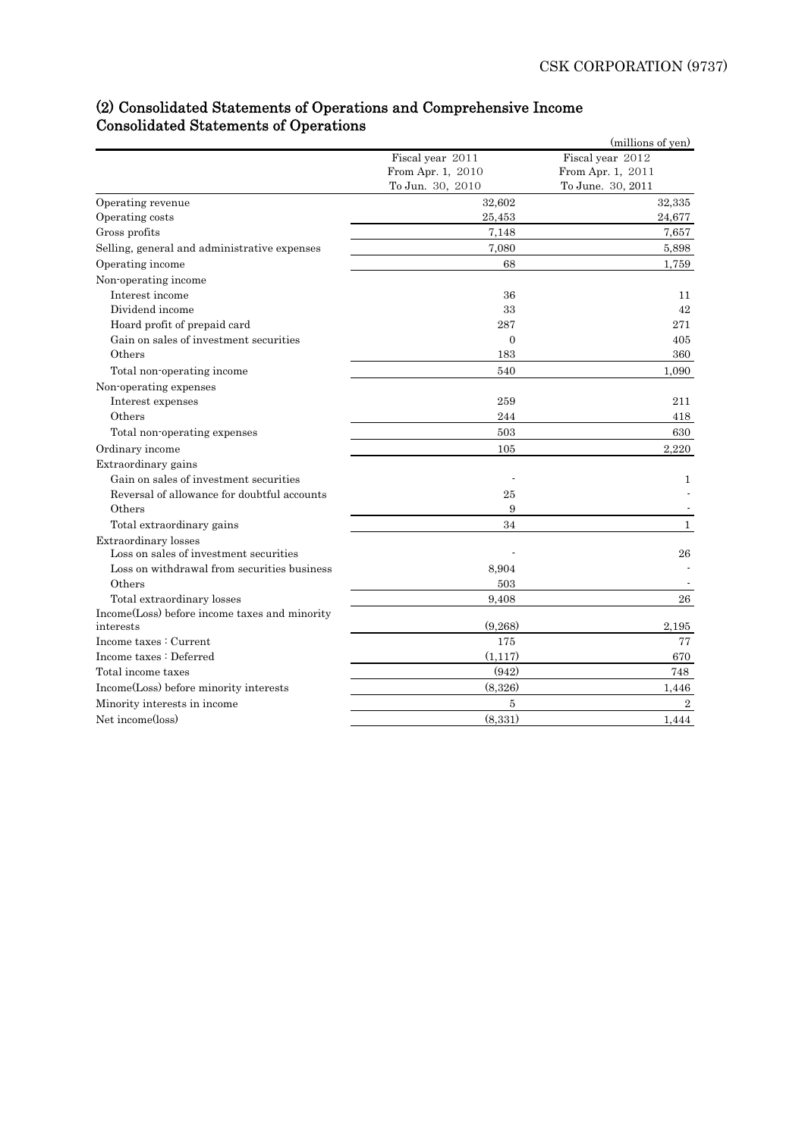## (2) Consolidated Statements of Operations and Comprehensive Income Consolidated Statements of Operations

|                                               |                   | (millions of yen) |
|-----------------------------------------------|-------------------|-------------------|
|                                               | Fiscal year 2011  | Fiscal year 2012  |
|                                               | From Apr. 1, 2010 | From Apr. 1, 2011 |
|                                               | To Jun. 30, 2010  | To June. 30, 2011 |
| Operating revenue                             | 32,602            | 32,335            |
| Operating costs                               | 25,453            | 24,677            |
| Gross profits                                 | 7,148             | 7,657             |
| Selling, general and administrative expenses  | 7,080             | 5,898             |
| Operating income                              | 68                | 1,759             |
| Non-operating income                          |                   |                   |
| Interest income                               | 36                | 11                |
| Dividend income                               | 33                | 42                |
| Hoard profit of prepaid card                  | 287               | 271               |
| Gain on sales of investment securities        | $\overline{0}$    | 405               |
| Others                                        | 183               | 360               |
| Total non-operating income                    | 540               | 1,090             |
| Non-operating expenses                        |                   |                   |
| Interest expenses                             | 259               | 211               |
| Others                                        | 244               | 418               |
| Total non-operating expenses                  | 503               | 630               |
| Ordinary income                               | 105               | 2,220             |
| Extraordinary gains                           |                   |                   |
| Gain on sales of investment securities        |                   | 1                 |
| Reversal of allowance for doubtful accounts   | 25                |                   |
| Others                                        | 9                 |                   |
| Total extraordinary gains                     | 34                | $\mathbf{1}$      |
| Extraordinary losses                          |                   |                   |
| Loss on sales of investment securities        |                   | 26                |
| Loss on withdrawal from securities business   | 8,904             |                   |
| Others                                        | 503               |                   |
| Total extraordinary losses                    | 9,408             | 26                |
| Income(Loss) before income taxes and minority |                   |                   |
| interests                                     | (9,268)           | 2,195             |
| Income taxes: Current                         | 175               | 77                |
| Income taxes : Deferred                       | (1,117)           | 670               |
| Total income taxes                            | (942)             | 748               |
| Income(Loss) before minority interests        | (8,326)           | 1,446             |
| Minority interests in income                  | 5                 | $\overline{2}$    |
| Net income(loss)                              | (8,331)           | 1,444             |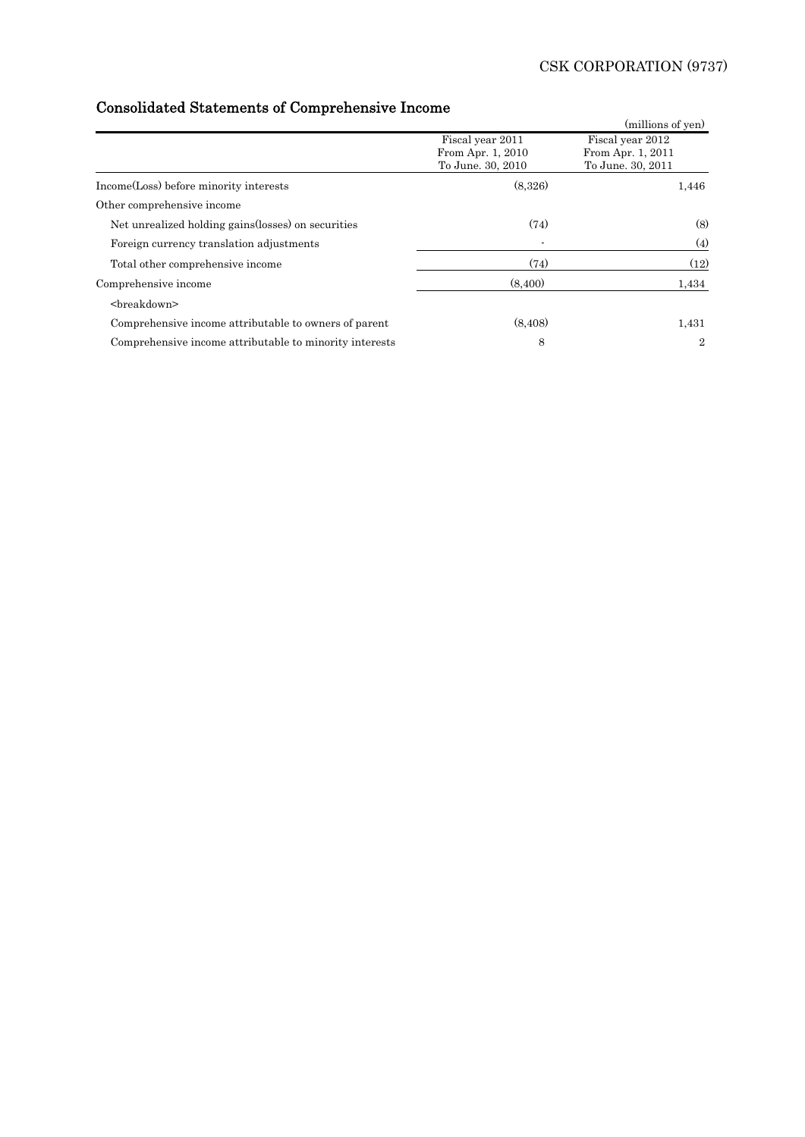# Consolidated Statements of Comprehensive Income

| oomoonaatoa Diatomonto or Compronomorto moomo           |                                                            | (millions of yen)                                          |
|---------------------------------------------------------|------------------------------------------------------------|------------------------------------------------------------|
|                                                         | Fiscal year 2011<br>From Apr. 1, 2010<br>To June. 30, 2010 | Fiscal year 2012<br>From Apr. 1, 2011<br>To June. 30, 2011 |
| Income(Loss) before minority interests                  | (8,326)                                                    | 1,446                                                      |
| Other comprehensive income                              |                                                            |                                                            |
| Net unrealized holding gains (losses) on securities     | (74)                                                       | (8)                                                        |
| Foreign currency translation adjustments                |                                                            | (4)                                                        |
| Total other comprehensive income                        | (74)                                                       | (12)                                                       |
| Comprehensive income                                    | (8.400)                                                    | 1,434                                                      |
| <breakdown></breakdown>                                 |                                                            |                                                            |
| Comprehensive income attributable to owners of parent   | (8, 408)                                                   | 1,431                                                      |
| Comprehensive income attributable to minority interests | 8                                                          | $\overline{2}$                                             |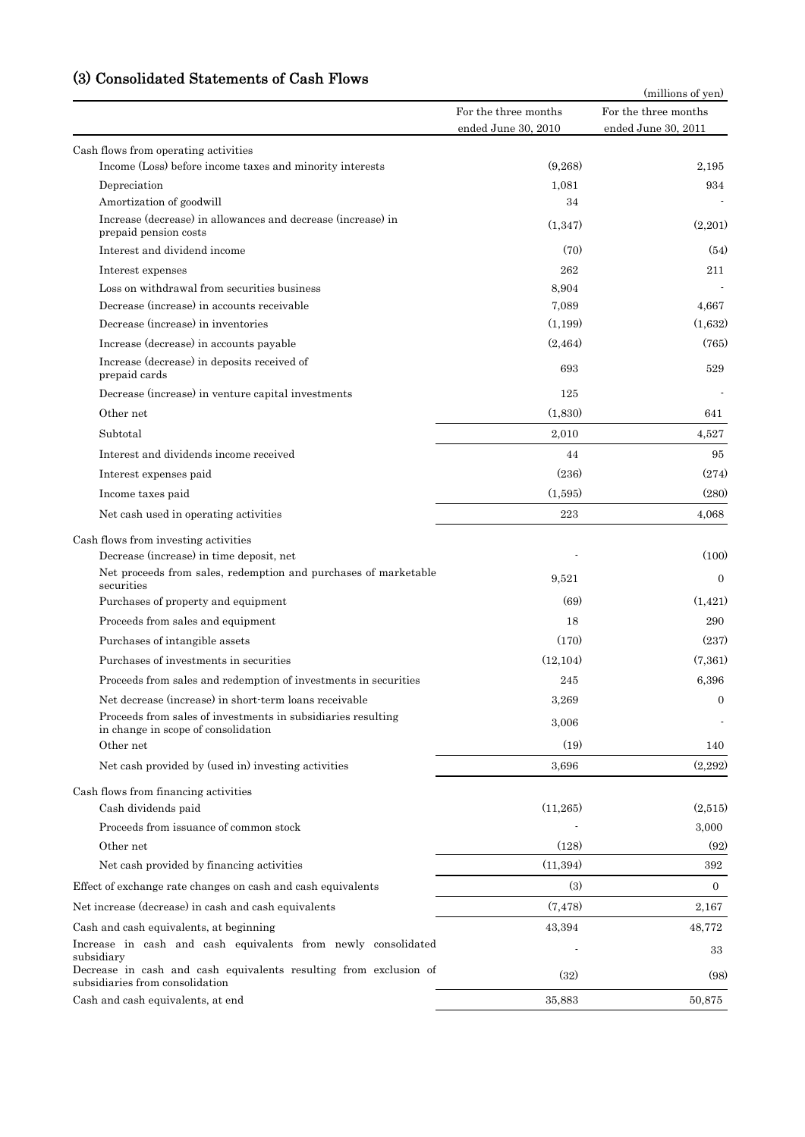## (3) Consolidated Statements of Cash Flows

| Consonuateu Dialements                                                                               |                                             | (millions of yen)                           |
|------------------------------------------------------------------------------------------------------|---------------------------------------------|---------------------------------------------|
|                                                                                                      | For the three months<br>ended June 30, 2010 | For the three months<br>ended June 30, 2011 |
| Cash flows from operating activities                                                                 |                                             |                                             |
| Income (Loss) before income taxes and minority interests                                             | (9,268)                                     | 2,195                                       |
| Depreciation                                                                                         | 1,081                                       | 934                                         |
| Amortization of goodwill                                                                             | 34                                          |                                             |
| Increase (decrease) in allowances and decrease (increase) in<br>prepaid pension costs                | (1,347)                                     | (2,201)                                     |
| Interest and dividend income                                                                         | (70)                                        | (54)                                        |
| Interest expenses                                                                                    | 262                                         | 211                                         |
| Loss on withdrawal from securities business                                                          | 8,904                                       |                                             |
| Decrease (increase) in accounts receivable                                                           | 7,089                                       | 4,667                                       |
| Decrease (increase) in inventories                                                                   | (1,199)                                     | (1,632)                                     |
| Increase (decrease) in accounts payable                                                              | (2, 464)                                    | (765)                                       |
| Increase (decrease) in deposits received of<br>prepaid cards                                         | 693                                         | 529                                         |
| Decrease (increase) in venture capital investments                                                   | 125                                         |                                             |
| Other net                                                                                            | (1,830)                                     | 641                                         |
| Subtotal                                                                                             | 2,010                                       | 4,527                                       |
| Interest and dividends income received                                                               | 44                                          | 95                                          |
| Interest expenses paid                                                                               | (236)                                       | (274)                                       |
| Income taxes paid                                                                                    | (1,595)                                     | (280)                                       |
| Net cash used in operating activities                                                                | 223                                         | 4,068                                       |
|                                                                                                      |                                             |                                             |
| Cash flows from investing activities<br>Decrease (increase) in time deposit, net                     |                                             | (100)                                       |
| Net proceeds from sales, redemption and purchases of marketable<br>securities                        | 9,521                                       | $\Omega$                                    |
| Purchases of property and equipment                                                                  | (69)                                        | (1, 421)                                    |
| Proceeds from sales and equipment                                                                    | 18                                          | 290                                         |
| Purchases of intangible assets                                                                       | (170)                                       | (237)                                       |
| Purchases of investments in securities                                                               | (12, 104)                                   | (7,361)                                     |
| Proceeds from sales and redemption of investments in securities                                      | 245                                         | 6,396                                       |
| Net decrease (increase) in short-term loans receivable                                               | 3,269                                       | $\mathbf{0}$                                |
| Proceeds from sales of investments in subsidiaries resulting<br>in change in scope of consolidation  | 3,006                                       |                                             |
| Other net                                                                                            | (19)                                        | 140                                         |
| Net cash provided by (used in) investing activities                                                  | 3,696                                       | (2,292)                                     |
| Cash flows from financing activities                                                                 |                                             |                                             |
| Cash dividends paid                                                                                  | (11,265)                                    | (2,515)                                     |
| Proceeds from issuance of common stock                                                               |                                             | 3,000                                       |
| Other net                                                                                            | (128)                                       | (92)                                        |
| Net cash provided by financing activities                                                            | (11,394)                                    | 392                                         |
| Effect of exchange rate changes on cash and cash equivalents                                         | (3)                                         | $\boldsymbol{0}$                            |
| Net increase (decrease) in cash and cash equivalents                                                 | (7, 478)                                    | 2,167                                       |
| Cash and cash equivalents, at beginning                                                              | 43,394                                      | 48,772                                      |
| Increase in cash and cash equivalents from newly consolidated<br>subsidiary                          |                                             | 33                                          |
| Decrease in cash and cash equivalents resulting from exclusion of<br>subsidiaries from consolidation | (32)                                        | (98)                                        |
| Cash and cash equivalents, at end                                                                    | 35,883                                      | 50,875                                      |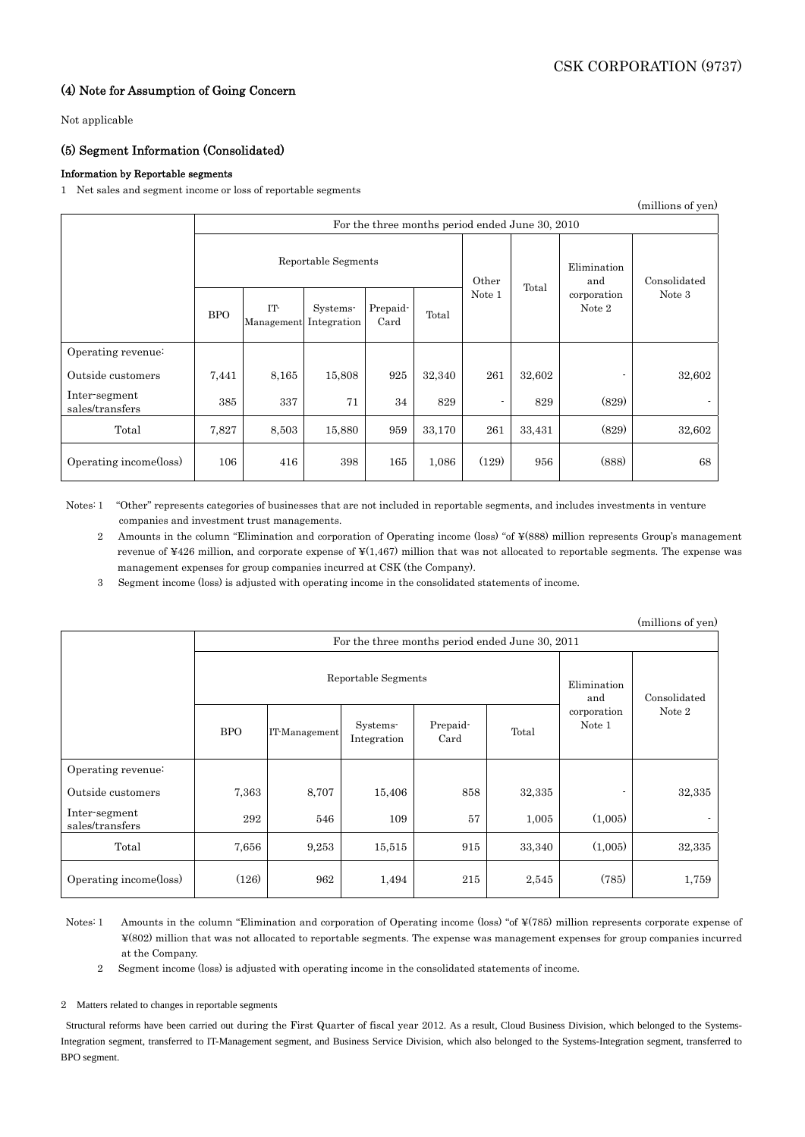## (4) Note for Assumption of Going Concern

Not applicable

## (5) Segment Information (Consolidated)

### Information by Reportable segments

1 Net sales and segment income or loss of reportable segments

| (millions of yen)                |                                                 |                   |                         |                  |        |        |                    |                       |        |
|----------------------------------|-------------------------------------------------|-------------------|-------------------------|------------------|--------|--------|--------------------|-----------------------|--------|
|                                  | For the three months period ended June 30, 2010 |                   |                         |                  |        |        |                    |                       |        |
|                                  | Reportable Segments                             |                   |                         |                  | Other  |        | Elimination<br>and | Consolidated          |        |
|                                  | <b>BPO</b>                                      | IT-<br>Management | Systems-<br>Integration | Prepaid-<br>Card | Total  | Note 1 | Total              | corporation<br>Note 2 | Note 3 |
| Operating revenue:               |                                                 |                   |                         |                  |        |        |                    |                       |        |
| Outside customers                | 7,441                                           | 8,165             | 15,808                  | 925              | 32,340 | 261    | 32,602             |                       | 32,602 |
| Inter-segment<br>sales/transfers | 385                                             | 337               | 71                      | 34               | 829    | ٠      | 829                | (829)                 |        |
| Total                            | 7,827                                           | 8,503             | 15,880                  | 959              | 33,170 | 261    | 33,431             | (829)                 | 32,602 |
| Operating income(loss)           | 106                                             | 416               | 398                     | 165              | 1,086  | (129)  | 956                | (888)                 | 68     |

Notes:1 "Other" represents categories of businesses that are not included in reportable segments, and includes investments in venture companies and investment trust managements.

2 Amounts in the column "Elimination and corporation of Operating income (loss) "of ¥(888) million represents Group's management revenue of ¥426 million, and corporate expense of ¥(1,467) million that was not allocated to reportable segments. The expense was management expenses for group companies incurred at CSK (the Company).

3 Segment income (loss) is adjusted with operating income in the consolidated statements of income.

|                                  |                                                 |               |                         |                  |        |                       | (millions of yen) |
|----------------------------------|-------------------------------------------------|---------------|-------------------------|------------------|--------|-----------------------|-------------------|
|                                  | For the three months period ended June 30, 2011 |               |                         |                  |        |                       |                   |
|                                  | Reportable Segments                             |               |                         |                  |        | Elimination<br>and    | Consolidated      |
|                                  | <b>BPO</b>                                      | IT-Management | Systems-<br>Integration | Prepaid-<br>Card | Total  | corporation<br>Note 1 | Note 2            |
| Operating revenue:               |                                                 |               |                         |                  |        |                       |                   |
| Outside customers                | 7,363                                           | 8,707         | 15,406                  | 858              | 32,335 |                       | 32,335            |
| Inter-segment<br>sales/transfers | 292                                             | 546           | 109                     | 57               | 1,005  | (1,005)               |                   |
| Total                            | 7,656                                           | 9,253         | 15,515                  | 915              | 33,340 | (1,005)               | 32,335            |
| Operating income(loss)           | (126)                                           | 962           | 1,494                   | 215              | 2,545  | (785)                 | 1,759             |

Notes:1 Amounts in the column "Elimination and corporation of Operating income (loss) "of ¥(785) million represents corporate expense of ¥(802) million that was not allocated to reportable segments. The expense was management expenses for group companies incurred at the Company.

2 Segment income (loss) is adjusted with operating income in the consolidated statements of income.

2 Matters related to changes in reportable segments

Structural reforms have been carried out during the First Quarter of fiscal year 2012. As a result, Cloud Business Division, which belonged to the Systems-Integration segment, transferred to IT-Management segment, and Business Service Division, which also belonged to the Systems-Integration segment, transferred to BPO segment.